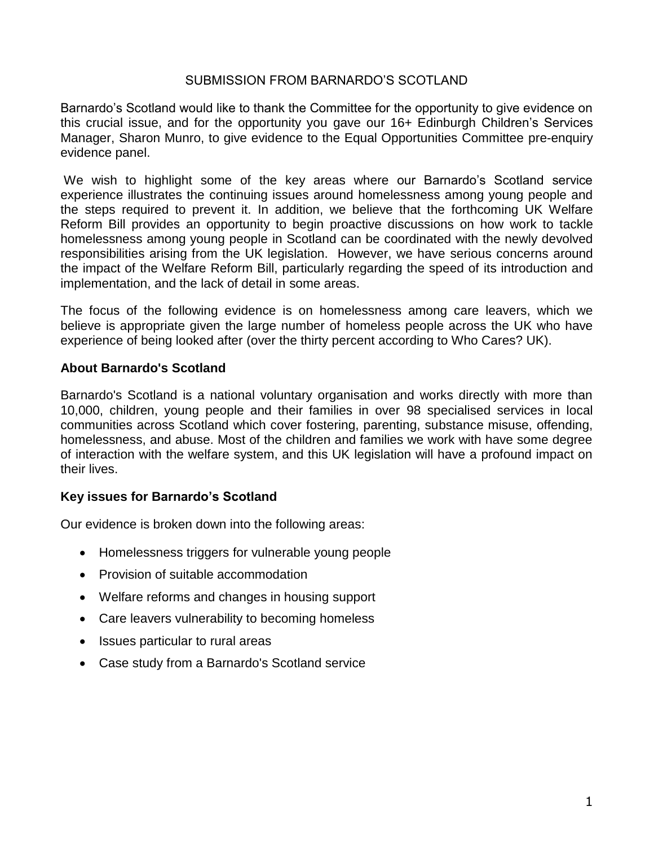## SUBMISSION FROM BARNARDO'S SCOTLAND

Barnardo's Scotland would like to thank the Committee for the opportunity to give evidence on this crucial issue, and for the opportunity you gave our 16+ Edinburgh Children's Services Manager, Sharon Munro, to give evidence to the Equal Opportunities Committee pre-enquiry evidence panel.

We wish to highlight some of the key areas where our Barnardo's Scotland service experience illustrates the continuing issues around homelessness among young people and the steps required to prevent it. In addition, we believe that the forthcoming UK Welfare Reform Bill provides an opportunity to begin proactive discussions on how work to tackle homelessness among young people in Scotland can be coordinated with the newly devolved responsibilities arising from the UK legislation. However, we have serious concerns around the impact of the Welfare Reform Bill, particularly regarding the speed of its introduction and implementation, and the lack of detail in some areas.

The focus of the following evidence is on homelessness among care leavers, which we believe is appropriate given the large number of homeless people across the UK who have experience of being looked after (over the thirty percent according to Who Cares? UK).

# **About Barnardo's Scotland**

Barnardo's Scotland is a national voluntary organisation and works directly with more than 10,000, children, young people and their families in over 98 specialised services in local communities across Scotland which cover fostering, parenting, substance misuse, offending, homelessness, and abuse. Most of the children and families we work with have some degree of interaction with the welfare system, and this UK legislation will have a profound impact on their lives.

# **Key issues for Barnardo's Scotland**

Our evidence is broken down into the following areas:

- Homelessness triggers for vulnerable young people
- Provision of suitable accommodation
- Welfare reforms and changes in housing support
- Care leavers vulnerability to becoming homeless
- Issues particular to rural areas
- Case study from a Barnardo's Scotland service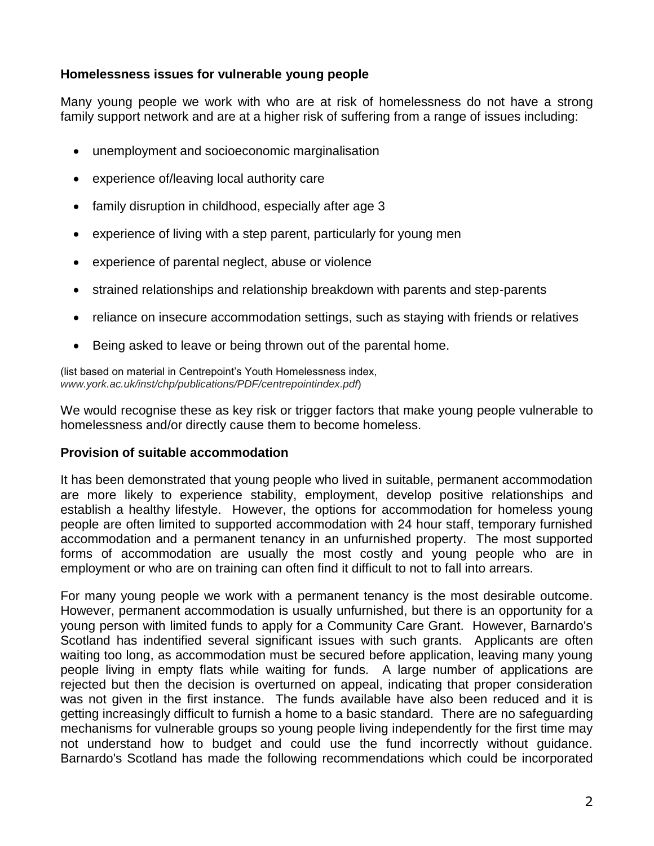## **Homelessness issues for vulnerable young people**

Many young people we work with who are at risk of homelessness do not have a strong family support network and are at a higher risk of suffering from a range of issues including:

- unemployment and socioeconomic marginalisation
- experience of/leaving local authority care
- family disruption in childhood, especially after age 3
- experience of living with a step parent, particularly for young men
- experience of parental neglect, abuse or violence
- strained relationships and relationship breakdown with parents and step-parents
- reliance on insecure accommodation settings, such as staying with friends or relatives
- Being asked to leave or being thrown out of the parental home.

(list based on material in Centrepoint's Youth Homelessness index, *www.york.ac.uk/inst/chp/publications/PDF/centrepointindex.pdf*)

We would recognise these as key risk or trigger factors that make young people vulnerable to homelessness and/or directly cause them to become homeless.

## **Provision of suitable accommodation**

It has been demonstrated that young people who lived in suitable, permanent accommodation are more likely to experience stability, employment, develop positive relationships and establish a healthy lifestyle. However, the options for accommodation for homeless young people are often limited to supported accommodation with 24 hour staff, temporary furnished accommodation and a permanent tenancy in an unfurnished property. The most supported forms of accommodation are usually the most costly and young people who are in employment or who are on training can often find it difficult to not to fall into arrears.

For many young people we work with a permanent tenancy is the most desirable outcome. However, permanent accommodation is usually unfurnished, but there is an opportunity for a young person with limited funds to apply for a Community Care Grant. However, Barnardo's Scotland has indentified several significant issues with such grants. Applicants are often waiting too long, as accommodation must be secured before application, leaving many young people living in empty flats while waiting for funds. A large number of applications are rejected but then the decision is overturned on appeal, indicating that proper consideration was not given in the first instance. The funds available have also been reduced and it is getting increasingly difficult to furnish a home to a basic standard. There are no safeguarding mechanisms for vulnerable groups so young people living independently for the first time may not understand how to budget and could use the fund incorrectly without guidance. Barnardo's Scotland has made the following recommendations which could be incorporated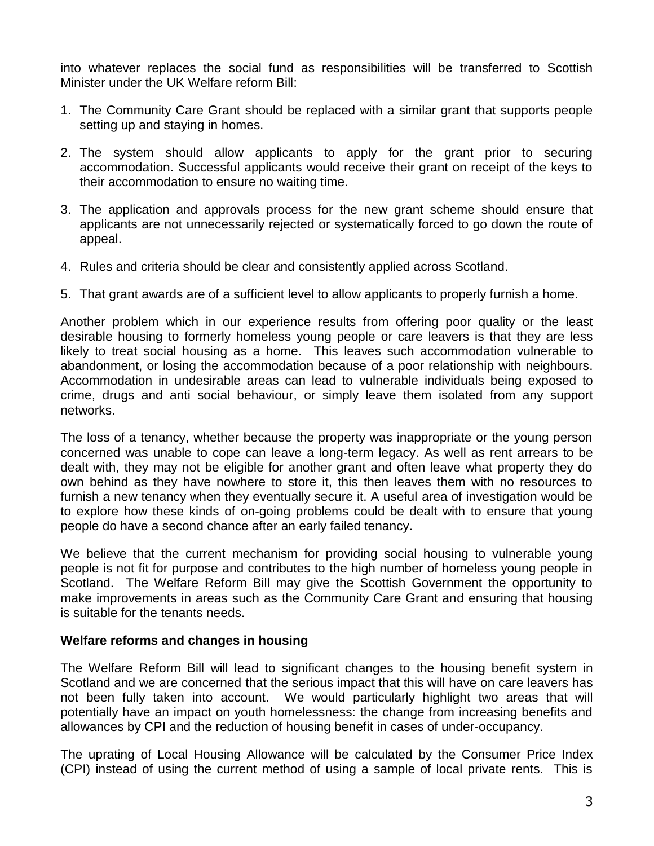into whatever replaces the social fund as responsibilities will be transferred to Scottish Minister under the UK Welfare reform Bill:

- 1. The Community Care Grant should be replaced with a similar grant that supports people setting up and staying in homes.
- 2. The system should allow applicants to apply for the grant prior to securing accommodation. Successful applicants would receive their grant on receipt of the keys to their accommodation to ensure no waiting time.
- 3. The application and approvals process for the new grant scheme should ensure that applicants are not unnecessarily rejected or systematically forced to go down the route of appeal.
- 4. Rules and criteria should be clear and consistently applied across Scotland.
- 5. That grant awards are of a sufficient level to allow applicants to properly furnish a home.

Another problem which in our experience results from offering poor quality or the least desirable housing to formerly homeless young people or care leavers is that they are less likely to treat social housing as a home. This leaves such accommodation vulnerable to abandonment, or losing the accommodation because of a poor relationship with neighbours. Accommodation in undesirable areas can lead to vulnerable individuals being exposed to crime, drugs and anti social behaviour, or simply leave them isolated from any support networks.

The loss of a tenancy, whether because the property was inappropriate or the young person concerned was unable to cope can leave a long-term legacy. As well as rent arrears to be dealt with, they may not be eligible for another grant and often leave what property they do own behind as they have nowhere to store it, this then leaves them with no resources to furnish a new tenancy when they eventually secure it. A useful area of investigation would be to explore how these kinds of on-going problems could be dealt with to ensure that young people do have a second chance after an early failed tenancy.

We believe that the current mechanism for providing social housing to vulnerable young people is not fit for purpose and contributes to the high number of homeless young people in Scotland. The Welfare Reform Bill may give the Scottish Government the opportunity to make improvements in areas such as the Community Care Grant and ensuring that housing is suitable for the tenants needs.

#### **Welfare reforms and changes in housing**

The Welfare Reform Bill will lead to significant changes to the housing benefit system in Scotland and we are concerned that the serious impact that this will have on care leavers has not been fully taken into account. We would particularly highlight two areas that will potentially have an impact on youth homelessness: the change from increasing benefits and allowances by CPI and the reduction of housing benefit in cases of under-occupancy.

The uprating of Local Housing Allowance will be calculated by the Consumer Price Index (CPI) instead of using the current method of using a sample of local private rents. This is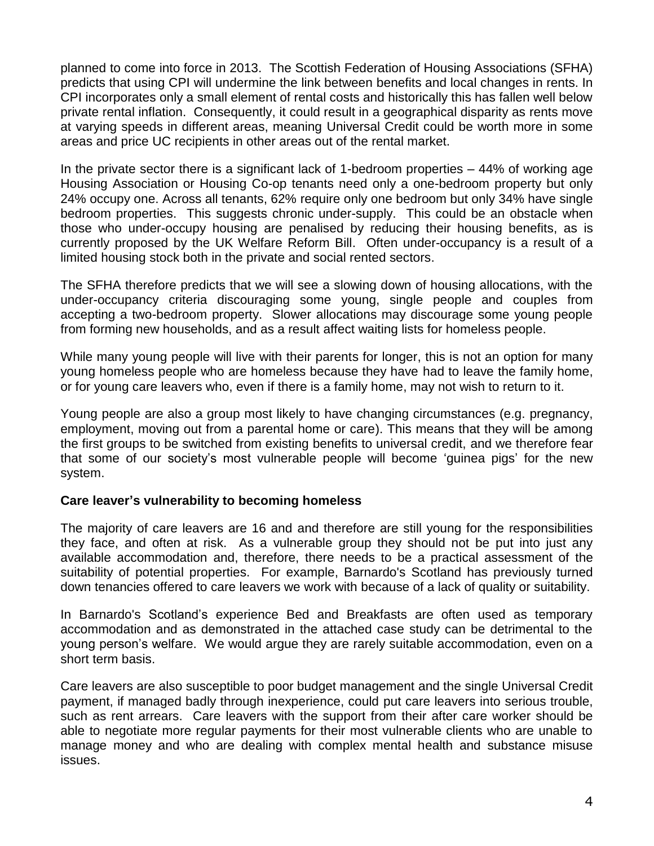planned to come into force in 2013. The Scottish Federation of Housing Associations (SFHA) predicts that using CPI will undermine the link between benefits and local changes in rents. In CPI incorporates only a small element of rental costs and historically this has fallen well below private rental inflation. Consequently, it could result in a geographical disparity as rents move at varying speeds in different areas, meaning Universal Credit could be worth more in some areas and price UC recipients in other areas out of the rental market.

In the private sector there is a significant lack of 1-bedroom properties – 44% of working age Housing Association or Housing Co-op tenants need only a one-bedroom property but only 24% occupy one. Across all tenants, 62% require only one bedroom but only 34% have single bedroom properties. This suggests chronic under-supply. This could be an obstacle when those who under-occupy housing are penalised by reducing their housing benefits, as is currently proposed by the UK Welfare Reform Bill. Often under-occupancy is a result of a limited housing stock both in the private and social rented sectors.

The SFHA therefore predicts that we will see a slowing down of housing allocations, with the under-occupancy criteria discouraging some young, single people and couples from accepting a two-bedroom property. Slower allocations may discourage some young people from forming new households, and as a result affect waiting lists for homeless people.

While many young people will live with their parents for longer, this is not an option for many young homeless people who are homeless because they have had to leave the family home, or for young care leavers who, even if there is a family home, may not wish to return to it.

Young people are also a group most likely to have changing circumstances (e.g. pregnancy, employment, moving out from a parental home or care). This means that they will be among the first groups to be switched from existing benefits to universal credit, and we therefore fear that some of our society's most vulnerable people will become 'guinea pigs' for the new system.

## **Care leaver's vulnerability to becoming homeless**

The majority of care leavers are 16 and and therefore are still young for the responsibilities they face, and often at risk. As a vulnerable group they should not be put into just any available accommodation and, therefore, there needs to be a practical assessment of the suitability of potential properties. For example, Barnardo's Scotland has previously turned down tenancies offered to care leavers we work with because of a lack of quality or suitability.

In Barnardo's Scotland's experience Bed and Breakfasts are often used as temporary accommodation and as demonstrated in the attached case study can be detrimental to the young person's welfare. We would argue they are rarely suitable accommodation, even on a short term basis.

Care leavers are also susceptible to poor budget management and the single Universal Credit payment, if managed badly through inexperience, could put care leavers into serious trouble, such as rent arrears. Care leavers with the support from their after care worker should be able to negotiate more regular payments for their most vulnerable clients who are unable to manage money and who are dealing with complex mental health and substance misuse issues.